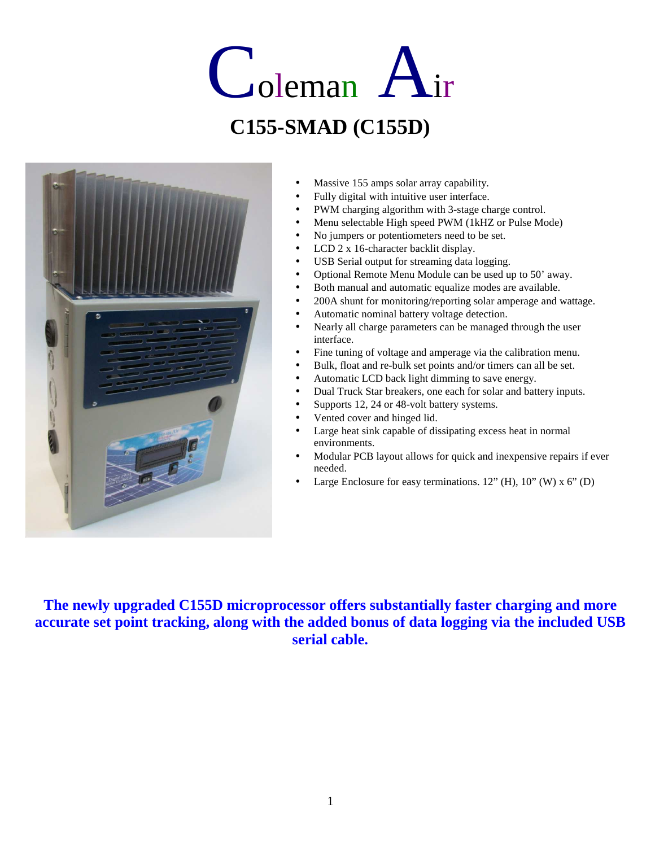# Coleman Air **C155-SMAD (C155D)**



- Massive 155 amps solar array capability.
- Fully digital with intuitive user interface.
- PWM charging algorithm with 3-stage charge control.
- Menu selectable High speed PWM (1kHZ or Pulse Mode)
- No jumpers or potentiometers need to be set.
- LCD 2 x 16-character backlit display.
- USB Serial output for streaming data logging.
- Optional Remote Menu Module can be used up to 50' away.
- Both manual and automatic equalize modes are available.
- 200A shunt for monitoring/reporting solar amperage and wattage.
- Automatic nominal battery voltage detection.
- Nearly all charge parameters can be managed through the user interface.
- Fine tuning of voltage and amperage via the calibration menu.
- Bulk, float and re-bulk set points and/or timers can all be set.
- Automatic LCD back light dimming to save energy.
- Dual Truck Star breakers, one each for solar and battery inputs.
- Supports 12, 24 or 48-volt battery systems.
- Vented cover and hinged lid.
- Large heat sink capable of dissipating excess heat in normal environments.
- Modular PCB layout allows for quick and inexpensive repairs if ever needed.
- Large Enclosure for easy terminations.  $12"$  (H),  $10"$  (W) x  $6"$  (D)

**The newly upgraded C155D microprocessor offers substantially faster charging and more accurate set point tracking, along with the added bonus of data logging via the included USB serial cable.**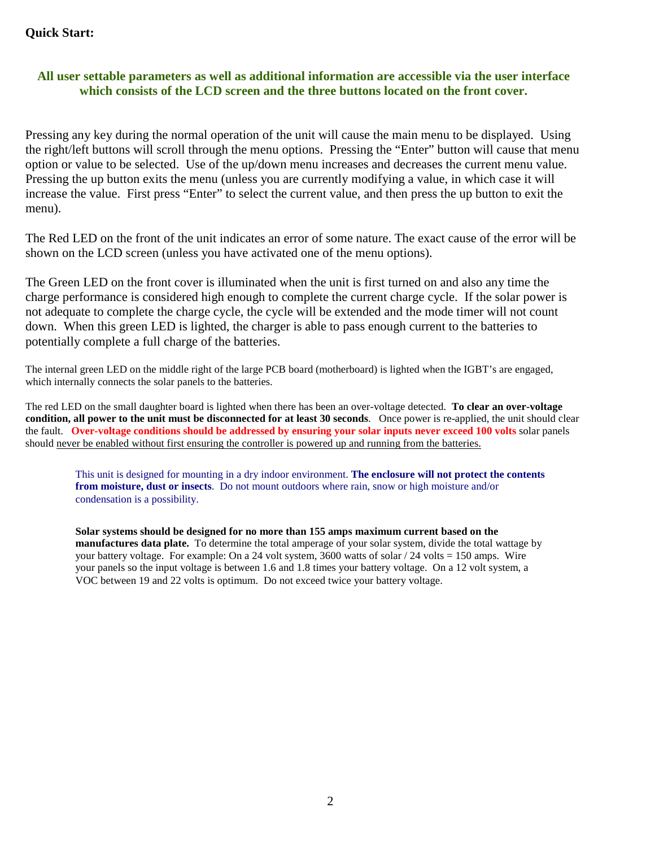## **Quick Start:**

## **All user settable parameters as well as additional information are accessible via the user interface which consists of the LCD screen and the three buttons located on the front cover.**

Pressing any key during the normal operation of the unit will cause the main menu to be displayed. Using the right/left buttons will scroll through the menu options. Pressing the "Enter" button will cause that menu option or value to be selected. Use of the up/down menu increases and decreases the current menu value. Pressing the up button exits the menu (unless you are currently modifying a value, in which case it will increase the value. First press "Enter" to select the current value, and then press the up button to exit the menu).

The Red LED on the front of the unit indicates an error of some nature. The exact cause of the error will be shown on the LCD screen (unless you have activated one of the menu options).

The Green LED on the front cover is illuminated when the unit is first turned on and also any time the charge performance is considered high enough to complete the current charge cycle. If the solar power is not adequate to complete the charge cycle, the cycle will be extended and the mode timer will not count down. When this green LED is lighted, the charger is able to pass enough current to the batteries to potentially complete a full charge of the batteries.

The internal green LED on the middle right of the large PCB board (motherboard) is lighted when the IGBT's are engaged, which internally connects the solar panels to the batteries.

The red LED on the small daughter board is lighted when there has been an over-voltage detected. **To clear an over-voltage condition, all power to the unit must be disconnected for at least 30 seconds**. Once power is re-applied, the unit should clear the fault. **Over-voltage conditions should be addressed by ensuring your solar inputs never exceed 100 volts** solar panels should never be enabled without first ensuring the controller is powered up and running from the batteries.

This unit is designed for mounting in a dry indoor environment. **The enclosure will not protect the contents from moisture, dust or insects**. Do not mount outdoors where rain, snow or high moisture and/or condensation is a possibility.

**Solar systems should be designed for no more than 155 amps maximum current based on the manufactures data plate.** To determine the total amperage of your solar system, divide the total wattage by your battery voltage. For example: On a 24 volt system, 3600 watts of solar / 24 volts = 150 amps. Wire your panels so the input voltage is between 1.6 and 1.8 times your battery voltage. On a 12 volt system, a VOC between 19 and 22 volts is optimum. Do not exceed twice your battery voltage.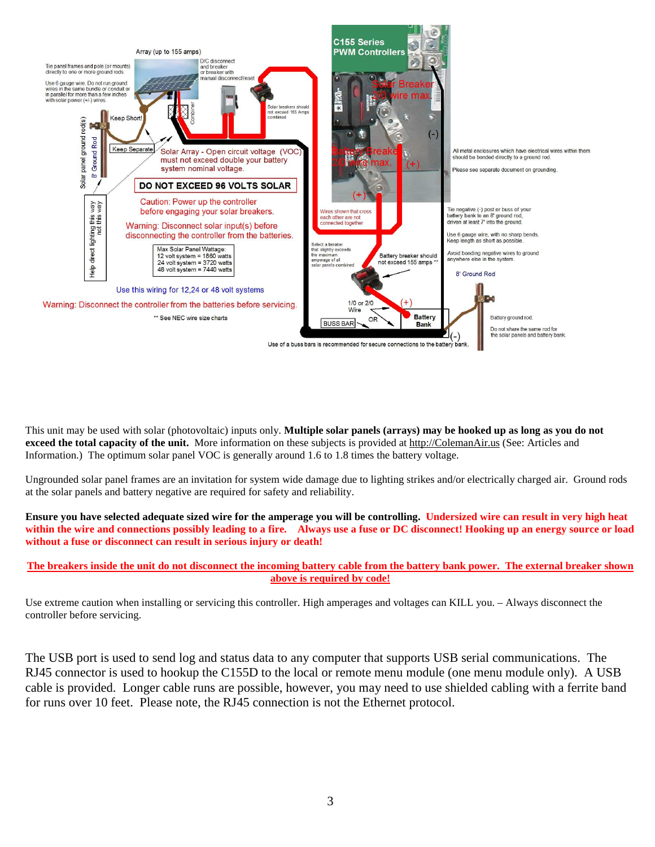

This unit may be used with solar (photovoltaic) inputs only. **Multiple solar panels (arrays) may be hooked up as long as you do not exceed the total capacity of the unit.** More information on these subjects is provided at http://ColemanAir.us (See: Articles and Information.) The optimum solar panel VOC is generally around 1.6 to 1.8 times the battery voltage.

Ungrounded solar panel frames are an invitation for system wide damage due to lighting strikes and/or electrically charged air. Ground rods at the solar panels and battery negative are required for safety and reliability.

**Ensure you have selected adequate sized wire for the amperage you will be controlling. Undersized wire can result in very high heat within the wire and connections possibly leading to a fire. Always use a fuse or DC disconnect! Hooking up an energy source or load without a fuse or disconnect can result in serious injury or death!** 

#### **The breakers inside the unit do not disconnect the incoming battery cable from the battery bank power. The external breaker shown above is required by code!**

Use extreme caution when installing or servicing this controller. High amperages and voltages can KILL you. – Always disconnect the controller before servicing.

The USB port is used to send log and status data to any computer that supports USB serial communications. The RJ45 connector is used to hookup the C155D to the local or remote menu module (one menu module only). A USB cable is provided. Longer cable runs are possible, however, you may need to use shielded cabling with a ferrite band for runs over 10 feet. Please note, the RJ45 connection is not the Ethernet protocol.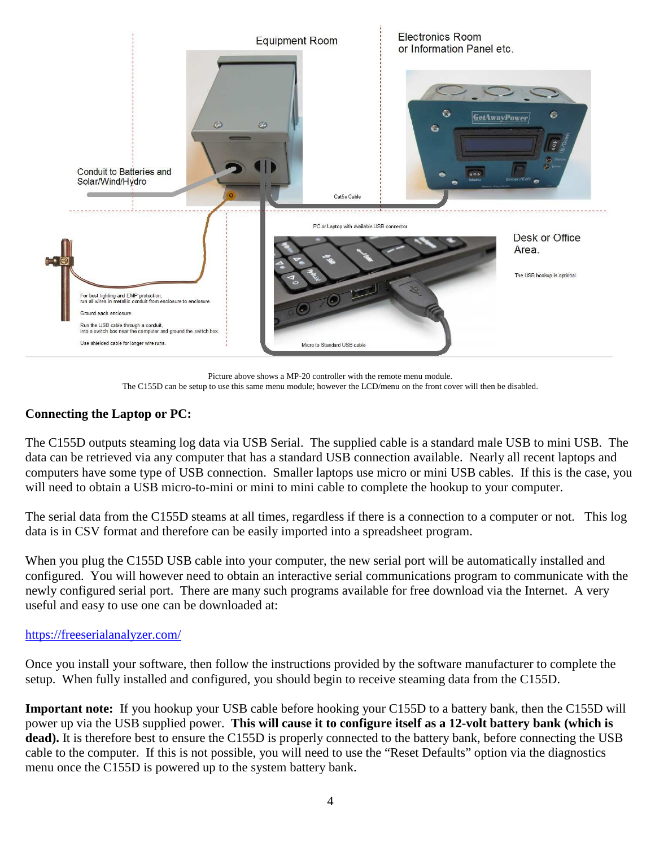

Picture above shows a MP-20 controller with the remote menu module. The C155D can be setup to use this same menu module; however the LCD/menu on the front cover will then be disabled.

## **Connecting the Laptop or PC:**

The C155D outputs steaming log data via USB Serial. The supplied cable is a standard male USB to mini USB. The data can be retrieved via any computer that has a standard USB connection available. Nearly all recent laptops and computers have some type of USB connection. Smaller laptops use micro or mini USB cables. If this is the case, you will need to obtain a USB micro-to-mini or mini to mini cable to complete the hookup to your computer.

The serial data from the C155D steams at all times, regardless if there is a connection to a computer or not. This log data is in CSV format and therefore can be easily imported into a spreadsheet program.

When you plug the C155D USB cable into your computer, the new serial port will be automatically installed and configured. You will however need to obtain an interactive serial communications program to communicate with the newly configured serial port. There are many such programs available for free download via the Internet. A very useful and easy to use one can be downloaded at:

## https://freeserialanalyzer.com/

Once you install your software, then follow the instructions provided by the software manufacturer to complete the setup. When fully installed and configured, you should begin to receive steaming data from the C155D.

**Important note:** If you hookup your USB cable before hooking your C155D to a battery bank, then the C155D will power up via the USB supplied power. **This will cause it to configure itself as a 12-volt battery bank (which is**  dead). It is therefore best to ensure the C155D is properly connected to the battery bank, before connecting the USB cable to the computer. If this is not possible, you will need to use the "Reset Defaults" option via the diagnostics menu once the C155D is powered up to the system battery bank.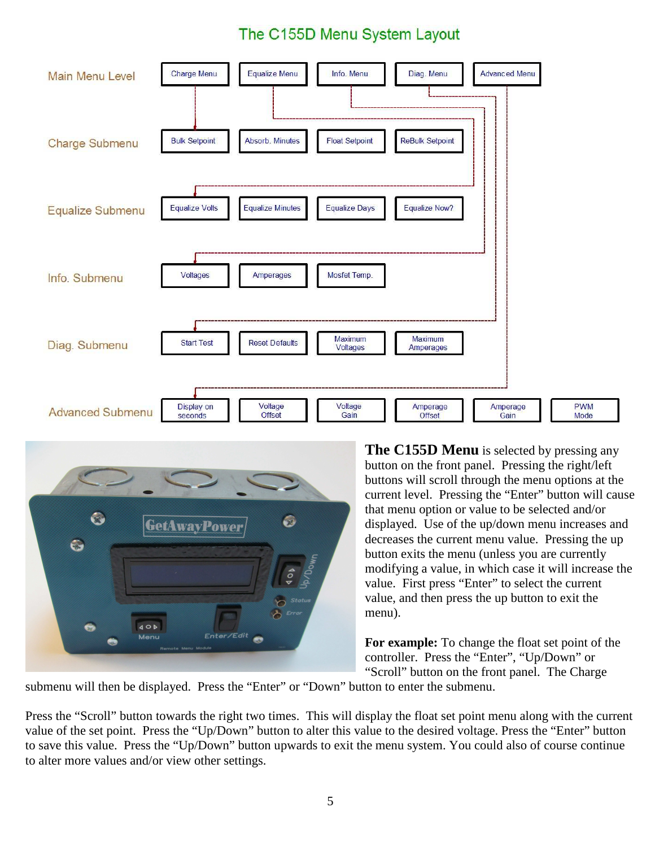## The C155D Menu System Layout





**The C155D Menu** is selected by pressing any button on the front panel. Pressing the right/left buttons will scroll through the menu options at the current level. Pressing the "Enter" button will cause that menu option or value to be selected and/or displayed. Use of the up/down menu increases and decreases the current menu value. Pressing the up button exits the menu (unless you are currently modifying a value, in which case it will increase the value. First press "Enter" to select the current value, and then press the up button to exit the menu).

**For example:** To change the float set point of the controller. Press the "Enter", "Up/Down" or "Scroll" button on the front panel. The Charge

submenu will then be displayed. Press the "Enter" or "Down" button to enter the submenu.

Press the "Scroll" button towards the right two times. This will display the float set point menu along with the current value of the set point. Press the "Up/Down" button to alter this value to the desired voltage. Press the "Enter" button to save this value. Press the "Up/Down" button upwards to exit the menu system. You could also of course continue to alter more values and/or view other settings.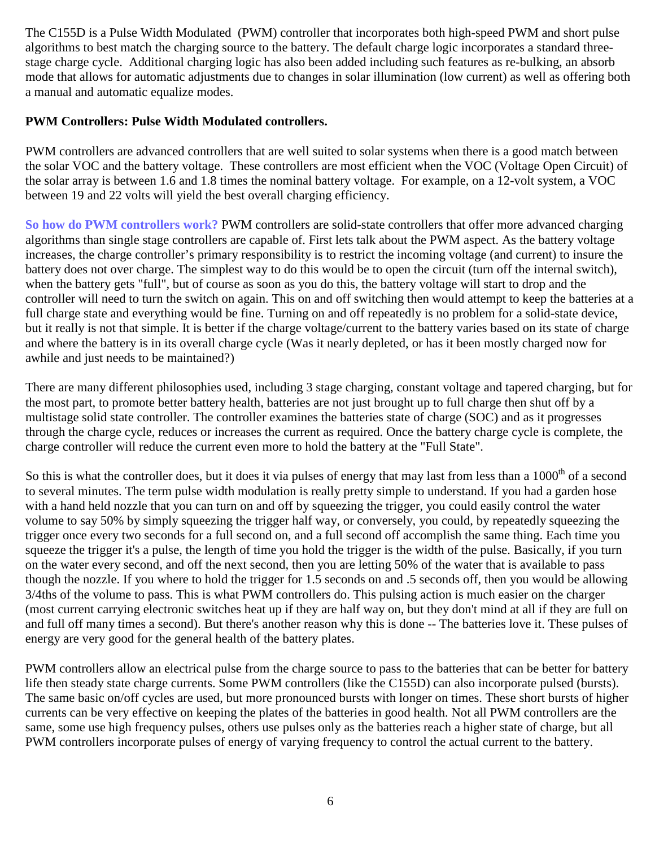The C155D is a Pulse Width Modulated (PWM) controller that incorporates both high-speed PWM and short pulse algorithms to best match the charging source to the battery. The default charge logic incorporates a standard threestage charge cycle. Additional charging logic has also been added including such features as re-bulking, an absorb mode that allows for automatic adjustments due to changes in solar illumination (low current) as well as offering both a manual and automatic equalize modes.

## **PWM Controllers: Pulse Width Modulated controllers.**

PWM controllers are advanced controllers that are well suited to solar systems when there is a good match between the solar VOC and the battery voltage. These controllers are most efficient when the VOC (Voltage Open Circuit) of the solar array is between 1.6 and 1.8 times the nominal battery voltage. For example, on a 12-volt system, a VOC between 19 and 22 volts will yield the best overall charging efficiency.

**So how do PWM controllers work?** PWM controllers are solid-state controllers that offer more advanced charging algorithms than single stage controllers are capable of. First lets talk about the PWM aspect. As the battery voltage increases, the charge controller's primary responsibility is to restrict the incoming voltage (and current) to insure the battery does not over charge. The simplest way to do this would be to open the circuit (turn off the internal switch), when the battery gets "full", but of course as soon as you do this, the battery voltage will start to drop and the controller will need to turn the switch on again. This on and off switching then would attempt to keep the batteries at a full charge state and everything would be fine. Turning on and off repeatedly is no problem for a solid-state device, but it really is not that simple. It is better if the charge voltage/current to the battery varies based on its state of charge and where the battery is in its overall charge cycle (Was it nearly depleted, or has it been mostly charged now for awhile and just needs to be maintained?)

There are many different philosophies used, including 3 stage charging, constant voltage and tapered charging, but for the most part, to promote better battery health, batteries are not just brought up to full charge then shut off by a multistage solid state controller. The controller examines the batteries state of charge (SOC) and as it progresses through the charge cycle, reduces or increases the current as required. Once the battery charge cycle is complete, the charge controller will reduce the current even more to hold the battery at the "Full State".

So this is what the controller does, but it does it via pulses of energy that may last from less than a 1000<sup>th</sup> of a second to several minutes. The term pulse width modulation is really pretty simple to understand. If you had a garden hose with a hand held nozzle that you can turn on and off by squeezing the trigger, you could easily control the water volume to say 50% by simply squeezing the trigger half way, or conversely, you could, by repeatedly squeezing the trigger once every two seconds for a full second on, and a full second off accomplish the same thing. Each time you squeeze the trigger it's a pulse, the length of time you hold the trigger is the width of the pulse. Basically, if you turn on the water every second, and off the next second, then you are letting 50% of the water that is available to pass though the nozzle. If you where to hold the trigger for 1.5 seconds on and .5 seconds off, then you would be allowing 3/4ths of the volume to pass. This is what PWM controllers do. This pulsing action is much easier on the charger (most current carrying electronic switches heat up if they are half way on, but they don't mind at all if they are full on and full off many times a second). But there's another reason why this is done -- The batteries love it. These pulses of energy are very good for the general health of the battery plates.

PWM controllers allow an electrical pulse from the charge source to pass to the batteries that can be better for battery life then steady state charge currents. Some PWM controllers (like the C155D) can also incorporate pulsed (bursts). The same basic on/off cycles are used, but more pronounced bursts with longer on times. These short bursts of higher currents can be very effective on keeping the plates of the batteries in good health. Not all PWM controllers are the same, some use high frequency pulses, others use pulses only as the batteries reach a higher state of charge, but all PWM controllers incorporate pulses of energy of varying frequency to control the actual current to the battery.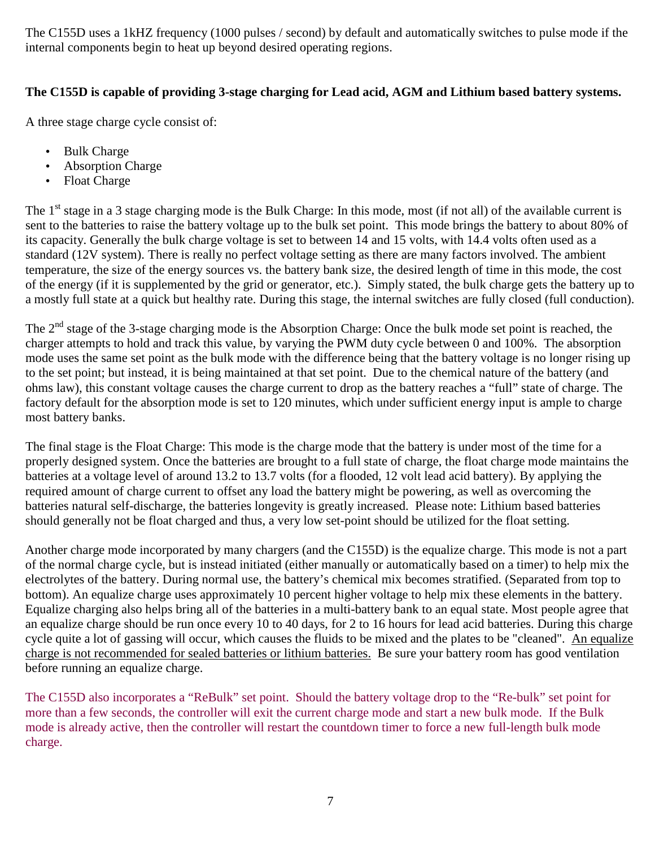The C155D uses a 1kHZ frequency (1000 pulses / second) by default and automatically switches to pulse mode if the internal components begin to heat up beyond desired operating regions.

## **The C155D is capable of providing 3-stage charging for Lead acid, AGM and Lithium based battery systems.**

A three stage charge cycle consist of:

- Bulk Charge
- Absorption Charge
- Float Charge

The  $1<sup>st</sup>$  stage in a 3 stage charging mode is the Bulk Charge: In this mode, most (if not all) of the available current is sent to the batteries to raise the battery voltage up to the bulk set point. This mode brings the battery to about 80% of its capacity. Generally the bulk charge voltage is set to between 14 and 15 volts, with 14.4 volts often used as a standard (12V system). There is really no perfect voltage setting as there are many factors involved. The ambient temperature, the size of the energy sources vs. the battery bank size, the desired length of time in this mode, the cost of the energy (if it is supplemented by the grid or generator, etc.). Simply stated, the bulk charge gets the battery up to a mostly full state at a quick but healthy rate. During this stage, the internal switches are fully closed (full conduction).

The  $2<sup>nd</sup>$  stage of the 3-stage charging mode is the Absorption Charge: Once the bulk mode set point is reached, the charger attempts to hold and track this value, by varying the PWM duty cycle between 0 and 100%. The absorption mode uses the same set point as the bulk mode with the difference being that the battery voltage is no longer rising up to the set point; but instead, it is being maintained at that set point. Due to the chemical nature of the battery (and ohms law), this constant voltage causes the charge current to drop as the battery reaches a "full" state of charge. The factory default for the absorption mode is set to 120 minutes, which under sufficient energy input is ample to charge most battery banks.

The final stage is the Float Charge: This mode is the charge mode that the battery is under most of the time for a properly designed system. Once the batteries are brought to a full state of charge, the float charge mode maintains the batteries at a voltage level of around 13.2 to 13.7 volts (for a flooded, 12 volt lead acid battery). By applying the required amount of charge current to offset any load the battery might be powering, as well as overcoming the batteries natural self-discharge, the batteries longevity is greatly increased. Please note: Lithium based batteries should generally not be float charged and thus, a very low set-point should be utilized for the float setting.

Another charge mode incorporated by many chargers (and the C155D) is the equalize charge. This mode is not a part of the normal charge cycle, but is instead initiated (either manually or automatically based on a timer) to help mix the electrolytes of the battery. During normal use, the battery's chemical mix becomes stratified. (Separated from top to bottom). An equalize charge uses approximately 10 percent higher voltage to help mix these elements in the battery. Equalize charging also helps bring all of the batteries in a multi-battery bank to an equal state. Most people agree that an equalize charge should be run once every 10 to 40 days, for 2 to 16 hours for lead acid batteries. During this charge cycle quite a lot of gassing will occur, which causes the fluids to be mixed and the plates to be "cleaned". An equalize charge is not recommended for sealed batteries or lithium batteries. Be sure your battery room has good ventilation before running an equalize charge.

The C155D also incorporates a "ReBulk" set point. Should the battery voltage drop to the "Re-bulk" set point for more than a few seconds, the controller will exit the current charge mode and start a new bulk mode. If the Bulk mode is already active, then the controller will restart the countdown timer to force a new full-length bulk mode charge.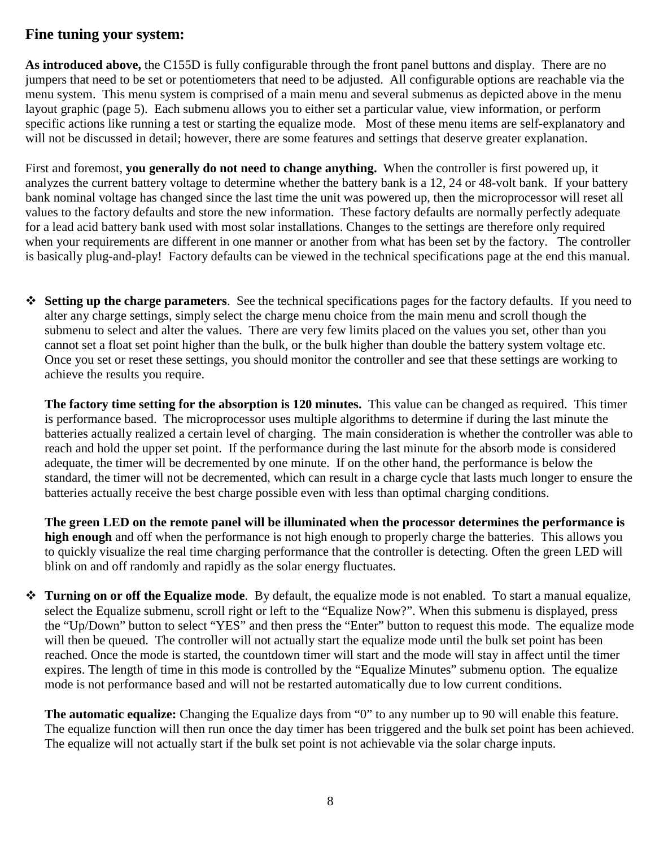## **Fine tuning your system:**

**As introduced above,** the C155D is fully configurable through the front panel buttons and display. There are no jumpers that need to be set or potentiometers that need to be adjusted. All configurable options are reachable via the menu system. This menu system is comprised of a main menu and several submenus as depicted above in the menu layout graphic (page 5). Each submenu allows you to either set a particular value, view information, or perform specific actions like running a test or starting the equalize mode. Most of these menu items are self-explanatory and will not be discussed in detail; however, there are some features and settings that deserve greater explanation.

First and foremost, **you generally do not need to change anything.** When the controller is first powered up, it analyzes the current battery voltage to determine whether the battery bank is a 12, 24 or 48-volt bank. If your battery bank nominal voltage has changed since the last time the unit was powered up, then the microprocessor will reset all values to the factory defaults and store the new information. These factory defaults are normally perfectly adequate for a lead acid battery bank used with most solar installations. Changes to the settings are therefore only required when your requirements are different in one manner or another from what has been set by the factory. The controller is basically plug-and-play! Factory defaults can be viewed in the technical specifications page at the end this manual.

 **Setting up the charge parameters**. See the technical specifications pages for the factory defaults. If you need to alter any charge settings, simply select the charge menu choice from the main menu and scroll though the submenu to select and alter the values. There are very few limits placed on the values you set, other than you cannot set a float set point higher than the bulk, or the bulk higher than double the battery system voltage etc. Once you set or reset these settings, you should monitor the controller and see that these settings are working to achieve the results you require.

**The factory time setting for the absorption is 120 minutes.** This value can be changed as required. This timer is performance based. The microprocessor uses multiple algorithms to determine if during the last minute the batteries actually realized a certain level of charging. The main consideration is whether the controller was able to reach and hold the upper set point. If the performance during the last minute for the absorb mode is considered adequate, the timer will be decremented by one minute. If on the other hand, the performance is below the standard, the timer will not be decremented, which can result in a charge cycle that lasts much longer to ensure the batteries actually receive the best charge possible even with less than optimal charging conditions.

**The green LED on the remote panel will be illuminated when the processor determines the performance is high enough** and off when the performance is not high enough to properly charge the batteries. This allows you to quickly visualize the real time charging performance that the controller is detecting. Often the green LED will blink on and off randomly and rapidly as the solar energy fluctuates.

 **Turning on or off the Equalize mode**. By default, the equalize mode is not enabled. To start a manual equalize, select the Equalize submenu, scroll right or left to the "Equalize Now?". When this submenu is displayed, press the "Up/Down" button to select "YES" and then press the "Enter" button to request this mode. The equalize mode will then be queued. The controller will not actually start the equalize mode until the bulk set point has been reached. Once the mode is started, the countdown timer will start and the mode will stay in affect until the timer expires. The length of time in this mode is controlled by the "Equalize Minutes" submenu option. The equalize mode is not performance based and will not be restarted automatically due to low current conditions.

**The automatic equalize:** Changing the Equalize days from "0" to any number up to 90 will enable this feature. The equalize function will then run once the day timer has been triggered and the bulk set point has been achieved. The equalize will not actually start if the bulk set point is not achievable via the solar charge inputs.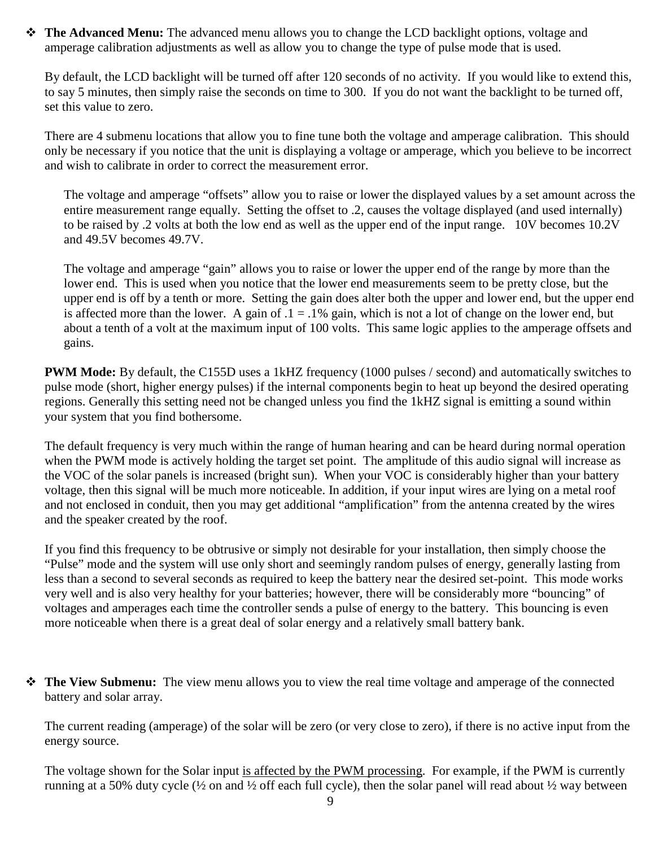**The Advanced Menu:** The advanced menu allows you to change the LCD backlight options, voltage and amperage calibration adjustments as well as allow you to change the type of pulse mode that is used.

By default, the LCD backlight will be turned off after 120 seconds of no activity. If you would like to extend this, to say 5 minutes, then simply raise the seconds on time to 300. If you do not want the backlight to be turned off, set this value to zero.

There are 4 submenu locations that allow you to fine tune both the voltage and amperage calibration. This should only be necessary if you notice that the unit is displaying a voltage or amperage, which you believe to be incorrect and wish to calibrate in order to correct the measurement error.

The voltage and amperage "offsets" allow you to raise or lower the displayed values by a set amount across the entire measurement range equally. Setting the offset to .2, causes the voltage displayed (and used internally) to be raised by .2 volts at both the low end as well as the upper end of the input range. 10V becomes 10.2V and 49.5V becomes 49.7V.

The voltage and amperage "gain" allows you to raise or lower the upper end of the range by more than the lower end. This is used when you notice that the lower end measurements seem to be pretty close, but the upper end is off by a tenth or more. Setting the gain does alter both the upper and lower end, but the upper end is affected more than the lower. A gain of  $.1 = .1\%$  gain, which is not a lot of change on the lower end, but about a tenth of a volt at the maximum input of 100 volts. This same logic applies to the amperage offsets and gains.

**PWM Mode:** By default, the C155D uses a 1kHZ frequency (1000 pulses / second) and automatically switches to pulse mode (short, higher energy pulses) if the internal components begin to heat up beyond the desired operating regions. Generally this setting need not be changed unless you find the 1kHZ signal is emitting a sound within your system that you find bothersome.

The default frequency is very much within the range of human hearing and can be heard during normal operation when the PWM mode is actively holding the target set point. The amplitude of this audio signal will increase as the VOC of the solar panels is increased (bright sun). When your VOC is considerably higher than your battery voltage, then this signal will be much more noticeable. In addition, if your input wires are lying on a metal roof and not enclosed in conduit, then you may get additional "amplification" from the antenna created by the wires and the speaker created by the roof.

If you find this frequency to be obtrusive or simply not desirable for your installation, then simply choose the "Pulse" mode and the system will use only short and seemingly random pulses of energy, generally lasting from less than a second to several seconds as required to keep the battery near the desired set-point. This mode works very well and is also very healthy for your batteries; however, there will be considerably more "bouncing" of voltages and amperages each time the controller sends a pulse of energy to the battery. This bouncing is even more noticeable when there is a great deal of solar energy and a relatively small battery bank.

 **The View Submenu:** The view menu allows you to view the real time voltage and amperage of the connected battery and solar array.

The current reading (amperage) of the solar will be zero (or very close to zero), if there is no active input from the energy source.

The voltage shown for the Solar input is affected by the PWM processing. For example, if the PWM is currently running at a 50% duty cycle (½ on and ½ off each full cycle), then the solar panel will read about ½ way between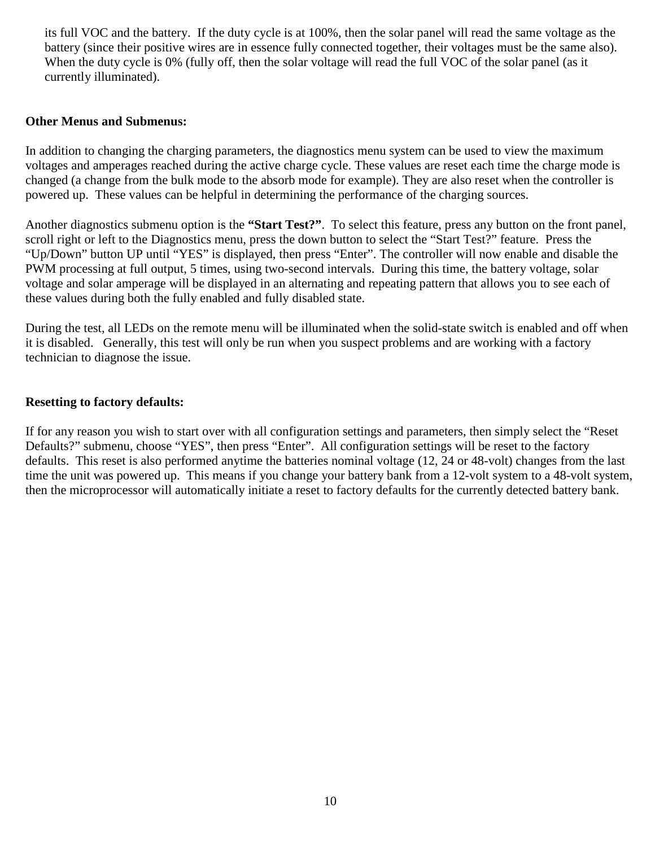its full VOC and the battery. If the duty cycle is at 100%, then the solar panel will read the same voltage as the battery (since their positive wires are in essence fully connected together, their voltages must be the same also). When the duty cycle is 0% (fully off, then the solar voltage will read the full VOC of the solar panel (as it currently illuminated).

#### **Other Menus and Submenus:**

In addition to changing the charging parameters, the diagnostics menu system can be used to view the maximum voltages and amperages reached during the active charge cycle. These values are reset each time the charge mode is changed (a change from the bulk mode to the absorb mode for example). They are also reset when the controller is powered up. These values can be helpful in determining the performance of the charging sources.

Another diagnostics submenu option is the **"Start Test?"**. To select this feature, press any button on the front panel, scroll right or left to the Diagnostics menu, press the down button to select the "Start Test?" feature. Press the "Up/Down" button UP until "YES" is displayed, then press "Enter". The controller will now enable and disable the PWM processing at full output, 5 times, using two-second intervals. During this time, the battery voltage, solar voltage and solar amperage will be displayed in an alternating and repeating pattern that allows you to see each of these values during both the fully enabled and fully disabled state.

During the test, all LEDs on the remote menu will be illuminated when the solid-state switch is enabled and off when it is disabled. Generally, this test will only be run when you suspect problems and are working with a factory technician to diagnose the issue.

## **Resetting to factory defaults:**

If for any reason you wish to start over with all configuration settings and parameters, then simply select the "Reset Defaults?" submenu, choose "YES", then press "Enter". All configuration settings will be reset to the factory defaults. This reset is also performed anytime the batteries nominal voltage (12, 24 or 48-volt) changes from the last time the unit was powered up. This means if you change your battery bank from a 12-volt system to a 48-volt system, then the microprocessor will automatically initiate a reset to factory defaults for the currently detected battery bank.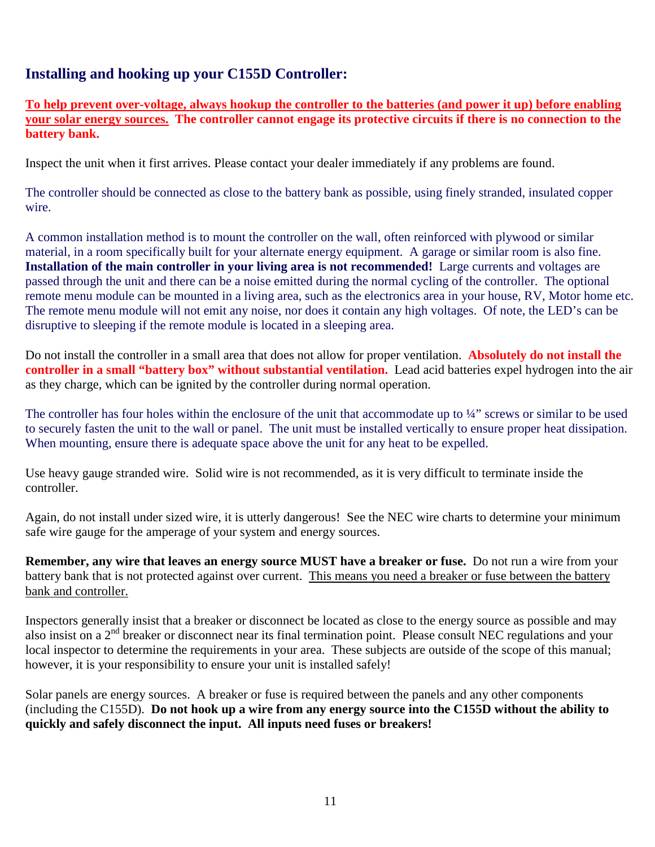## **Installing and hooking up your C155D Controller:**

**To help prevent over-voltage, always hookup the controller to the batteries (and power it up) before enabling your solar energy sources. The controller cannot engage its protective circuits if there is no connection to the battery bank.** 

Inspect the unit when it first arrives. Please contact your dealer immediately if any problems are found.

The controller should be connected as close to the battery bank as possible, using finely stranded, insulated copper wire.

A common installation method is to mount the controller on the wall, often reinforced with plywood or similar material, in a room specifically built for your alternate energy equipment. A garage or similar room is also fine. **Installation of the main controller in your living area is not recommended!** Large currents and voltages are passed through the unit and there can be a noise emitted during the normal cycling of the controller. The optional remote menu module can be mounted in a living area, such as the electronics area in your house, RV, Motor home etc. The remote menu module will not emit any noise, nor does it contain any high voltages. Of note, the LED's can be disruptive to sleeping if the remote module is located in a sleeping area.

Do not install the controller in a small area that does not allow for proper ventilation. **Absolutely do not install the controller in a small "battery box" without substantial ventilation.** Lead acid batteries expel hydrogen into the air as they charge, which can be ignited by the controller during normal operation.

The controller has four holes within the enclosure of the unit that accommodate up to ¼" screws or similar to be used to securely fasten the unit to the wall or panel. The unit must be installed vertically to ensure proper heat dissipation. When mounting, ensure there is adequate space above the unit for any heat to be expelled.

Use heavy gauge stranded wire. Solid wire is not recommended, as it is very difficult to terminate inside the controller.

Again, do not install under sized wire, it is utterly dangerous! See the NEC wire charts to determine your minimum safe wire gauge for the amperage of your system and energy sources.

**Remember, any wire that leaves an energy source MUST have a breaker or fuse.** Do not run a wire from your battery bank that is not protected against over current. This means you need a breaker or fuse between the battery bank and controller.

Inspectors generally insist that a breaker or disconnect be located as close to the energy source as possible and may also insist on a  $2<sup>nd</sup>$  breaker or disconnect near its final termination point. Please consult NEC regulations and your local inspector to determine the requirements in your area. These subjects are outside of the scope of this manual; however, it is your responsibility to ensure your unit is installed safely!

Solar panels are energy sources. A breaker or fuse is required between the panels and any other components (including the C155D). **Do not hook up a wire from any energy source into the C155D without the ability to quickly and safely disconnect the input. All inputs need fuses or breakers!**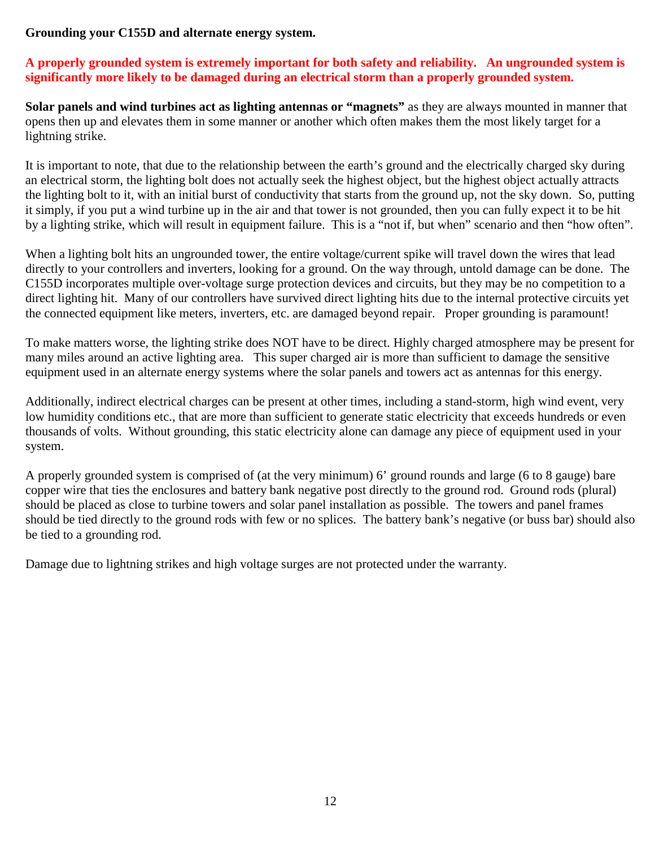## **Grounding your C155D and alternate energy system.**

## **A properly grounded system is extremely important for both safety and reliability. An ungrounded system is significantly more likely to be damaged during an electrical storm than a properly grounded system.**

**Solar panels and wind turbines act as lighting antennas or "magnets"** as they are always mounted in manner that opens then up and elevates them in some manner or another which often makes them the most likely target for a lightning strike.

It is important to note, that due to the relationship between the earth's ground and the electrically charged sky during an electrical storm, the lighting bolt does not actually seek the highest object, but the highest object actually attracts the lighting bolt to it, with an initial burst of conductivity that starts from the ground up, not the sky down. So, putting it simply, if you put a wind turbine up in the air and that tower is not grounded, then you can fully expect it to be hit by a lighting strike, which will result in equipment failure. This is a "not if, but when" scenario and then "how often".

When a lighting bolt hits an ungrounded tower, the entire voltage/current spike will travel down the wires that lead directly to your controllers and inverters, looking for a ground. On the way through, untold damage can be done. The C155D incorporates multiple over-voltage surge protection devices and circuits, but they may be no competition to a direct lighting hit. Many of our controllers have survived direct lighting hits due to the internal protective circuits yet the connected equipment like meters, inverters, etc. are damaged beyond repair. Proper grounding is paramount!

To make matters worse, the lighting strike does NOT have to be direct. Highly charged atmosphere may be present for many miles around an active lighting area. This super charged air is more than sufficient to damage the sensitive equipment used in an alternate energy systems where the solar panels and towers act as antennas for this energy.

Additionally, indirect electrical charges can be present at other times, including a stand-storm, high wind event, very low humidity conditions etc., that are more than sufficient to generate static electricity that exceeds hundreds or even thousands of volts. Without grounding, this static electricity alone can damage any piece of equipment used in your system.

A properly grounded system is comprised of (at the very minimum) 6' ground rounds and large (6 to 8 gauge) bare copper wire that ties the enclosures and battery bank negative post directly to the ground rod. Ground rods (plural) should be placed as close to turbine towers and solar panel installation as possible. The towers and panel frames should be tied directly to the ground rods with few or no splices. The battery bank's negative (or buss bar) should also be tied to a grounding rod.

Damage due to lightning strikes and high voltage surges are not protected under the warranty.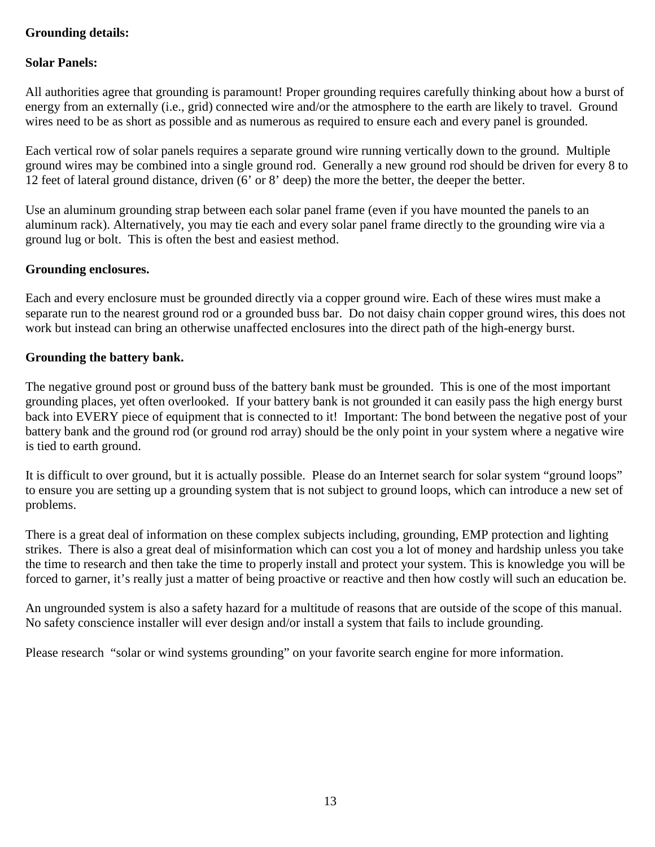## **Grounding details:**

## **Solar Panels:**

All authorities agree that grounding is paramount! Proper grounding requires carefully thinking about how a burst of energy from an externally (i.e., grid) connected wire and/or the atmosphere to the earth are likely to travel. Ground wires need to be as short as possible and as numerous as required to ensure each and every panel is grounded.

Each vertical row of solar panels requires a separate ground wire running vertically down to the ground. Multiple ground wires may be combined into a single ground rod. Generally a new ground rod should be driven for every 8 to 12 feet of lateral ground distance, driven (6' or 8' deep) the more the better, the deeper the better.

Use an aluminum grounding strap between each solar panel frame (even if you have mounted the panels to an aluminum rack). Alternatively, you may tie each and every solar panel frame directly to the grounding wire via a ground lug or bolt. This is often the best and easiest method.

## **Grounding enclosures.**

Each and every enclosure must be grounded directly via a copper ground wire. Each of these wires must make a separate run to the nearest ground rod or a grounded buss bar. Do not daisy chain copper ground wires, this does not work but instead can bring an otherwise unaffected enclosures into the direct path of the high-energy burst.

## **Grounding the battery bank.**

The negative ground post or ground buss of the battery bank must be grounded. This is one of the most important grounding places, yet often overlooked. If your battery bank is not grounded it can easily pass the high energy burst back into EVERY piece of equipment that is connected to it! Important: The bond between the negative post of your battery bank and the ground rod (or ground rod array) should be the only point in your system where a negative wire is tied to earth ground.

It is difficult to over ground, but it is actually possible. Please do an Internet search for solar system "ground loops" to ensure you are setting up a grounding system that is not subject to ground loops, which can introduce a new set of problems.

There is a great deal of information on these complex subjects including, grounding, EMP protection and lighting strikes. There is also a great deal of misinformation which can cost you a lot of money and hardship unless you take the time to research and then take the time to properly install and protect your system. This is knowledge you will be forced to garner, it's really just a matter of being proactive or reactive and then how costly will such an education be.

An ungrounded system is also a safety hazard for a multitude of reasons that are outside of the scope of this manual. No safety conscience installer will ever design and/or install a system that fails to include grounding.

Please research "solar or wind systems grounding" on your favorite search engine for more information.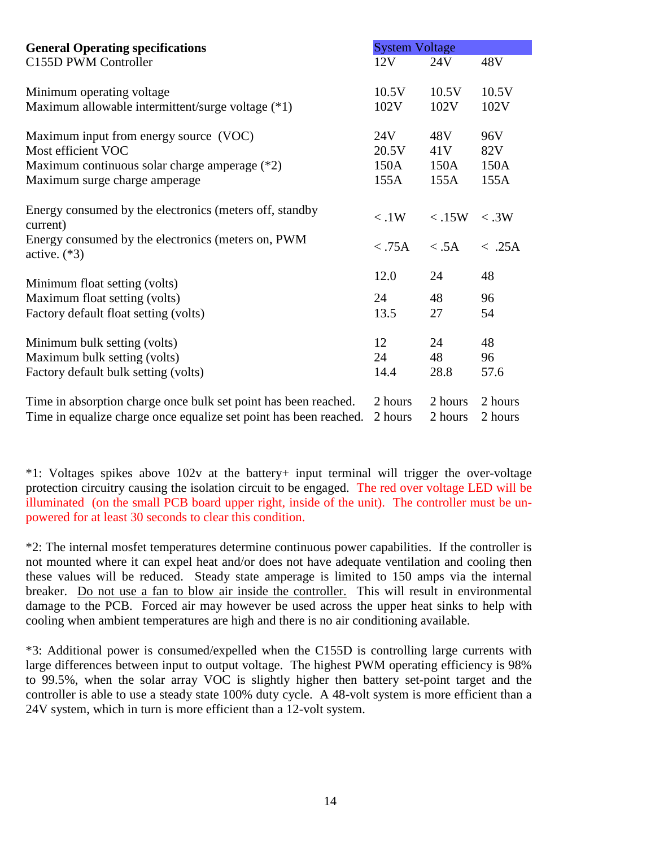| <b>General Operating specifications</b>                              |         | <b>System Voltage</b> |         |  |
|----------------------------------------------------------------------|---------|-----------------------|---------|--|
| C155D PWM Controller                                                 | 12V     | 24V                   | 48V     |  |
| Minimum operating voltage                                            | 10.5V   | 10.5V                 | 10.5V   |  |
| Maximum allowable intermittent/surge voltage (*1)                    | 102V    | 102V                  | 102V    |  |
| Maximum input from energy source (VOC)                               | 24V     | 48V                   | 96V     |  |
| Most efficient VOC                                                   | 20.5V   | 41V                   | 82V     |  |
| Maximum continuous solar charge amperage (*2)                        | 150A    | 150A                  | 150A    |  |
| Maximum surge charge amperage                                        | 155A    | 155A                  | 155A    |  |
| Energy consumed by the electronics (meters off, standby<br>current)  | < 0.1W  | $<$ .15W              | < .3W   |  |
| Energy consumed by the electronics (meters on, PWM<br>active. $(*3)$ | < .75A  | < .5A                 | < .25A  |  |
| Minimum float setting (volts)                                        | 12.0    | 24                    | 48      |  |
| Maximum float setting (volts)                                        | 24      | 48                    | 96      |  |
| Factory default float setting (volts)                                | 13.5    | 27                    | 54      |  |
| Minimum bulk setting (volts)                                         | 12      | 24                    | 48      |  |
| Maximum bulk setting (volts)                                         | 24      | 48                    | 96      |  |
| Factory default bulk setting (volts)                                 | 14.4    | 28.8                  | 57.6    |  |
| Time in absorption charge once bulk set point has been reached.      | 2 hours | 2 hours               | 2 hours |  |
| Time in equalize charge once equalize set point has been reached.    | 2 hours | 2 hours               | 2 hours |  |

\*1: Voltages spikes above 102v at the battery+ input terminal will trigger the over-voltage protection circuitry causing the isolation circuit to be engaged. The red over voltage LED will be illuminated (on the small PCB board upper right, inside of the unit). The controller must be unpowered for at least 30 seconds to clear this condition.

\*2: The internal mosfet temperatures determine continuous power capabilities. If the controller is not mounted where it can expel heat and/or does not have adequate ventilation and cooling then these values will be reduced. Steady state amperage is limited to 150 amps via the internal breaker. Do not use a fan to blow air inside the controller. This will result in environmental damage to the PCB. Forced air may however be used across the upper heat sinks to help with cooling when ambient temperatures are high and there is no air conditioning available.

\*3: Additional power is consumed/expelled when the C155D is controlling large currents with large differences between input to output voltage. The highest PWM operating efficiency is 98% to 99.5%, when the solar array VOC is slightly higher then battery set-point target and the controller is able to use a steady state 100% duty cycle. A 48-volt system is more efficient than a 24V system, which in turn is more efficient than a 12-volt system.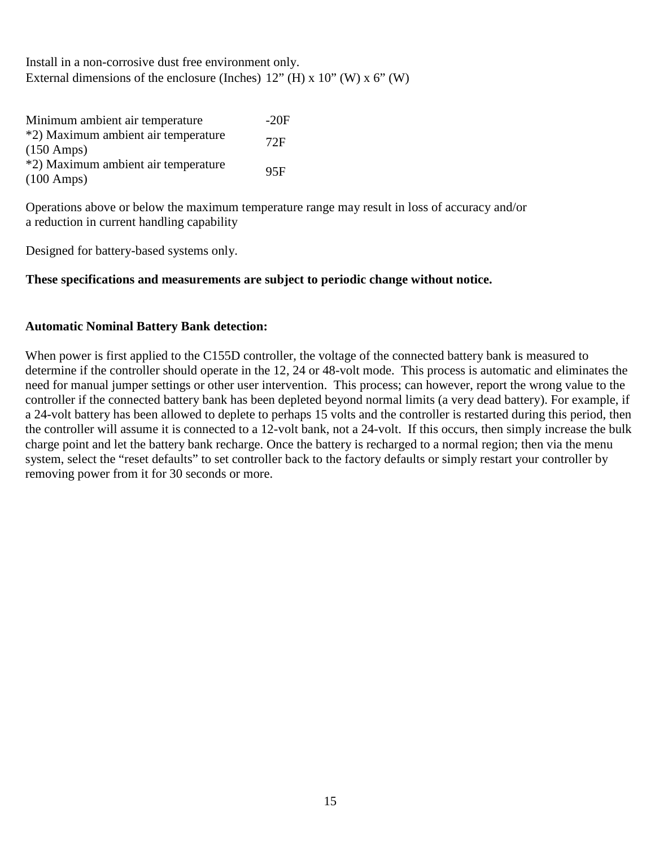Install in a non-corrosive dust free environment only. External dimensions of the enclosure (Inches)  $12$ " (H) x  $10$ " (W) x  $6$ " (W)

| Minimum ambient air temperature     | $-20F$ |
|-------------------------------------|--------|
| *2) Maximum ambient air temperature | 72F    |
| $(150 \text{ Amps})$                |        |
| *2) Maximum ambient air temperature | 95F    |
| $(100 \text{ Amps})$                |        |

Operations above or below the maximum temperature range may result in loss of accuracy and/or a reduction in current handling capability

Designed for battery-based systems only.

## **These specifications and measurements are subject to periodic change without notice.**

## **Automatic Nominal Battery Bank detection:**

When power is first applied to the C155D controller, the voltage of the connected battery bank is measured to determine if the controller should operate in the 12, 24 or 48-volt mode. This process is automatic and eliminates the need for manual jumper settings or other user intervention. This process; can however, report the wrong value to the controller if the connected battery bank has been depleted beyond normal limits (a very dead battery). For example, if a 24-volt battery has been allowed to deplete to perhaps 15 volts and the controller is restarted during this period, then the controller will assume it is connected to a 12-volt bank, not a 24-volt. If this occurs, then simply increase the bulk charge point and let the battery bank recharge. Once the battery is recharged to a normal region; then via the menu system, select the "reset defaults" to set controller back to the factory defaults or simply restart your controller by removing power from it for 30 seconds or more.